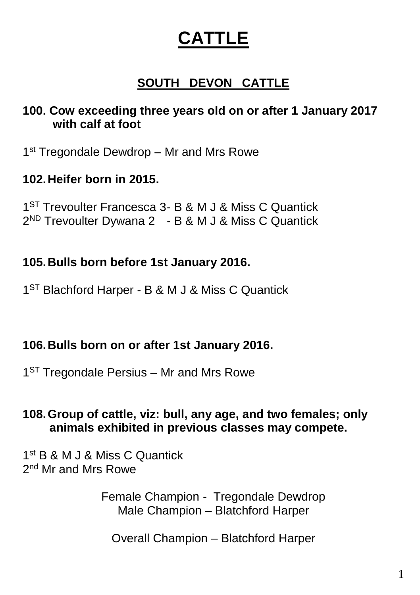# **CATTLE**

# **SOUTH DEVON CATTLE**

## **100. Cow exceeding three years old on or after 1 January 2017 with calf at foot**

1<sup>st</sup> Tregondale Dewdrop - Mr and Mrs Rowe

## **102.Heifer born in 2015.**

1<sup>ST</sup> Trevoulter Francesca 3- B & M J & Miss C Quantick 2<sup>ND</sup> Trevoulter Dywana 2 - B & M J & Miss C Quantick

## **105.Bulls born before 1st January 2016.**

1<sup>ST</sup> Blachford Harper - B & M J & Miss C Quantick

## **106.Bulls born on or after 1st January 2016.**

1<sup>ST</sup> Tregondale Persius – Mr and Mrs Rowe

## **108.Group of cattle, viz: bull, any age, and two females; only animals exhibited in previous classes may compete.**

1 st B & M J & Miss C Quantick 2<sup>nd</sup> Mr and Mrs Rowe

> Female Champion - Tregondale Dewdrop Male Champion – Blatchford Harper

Overall Champion – Blatchford Harper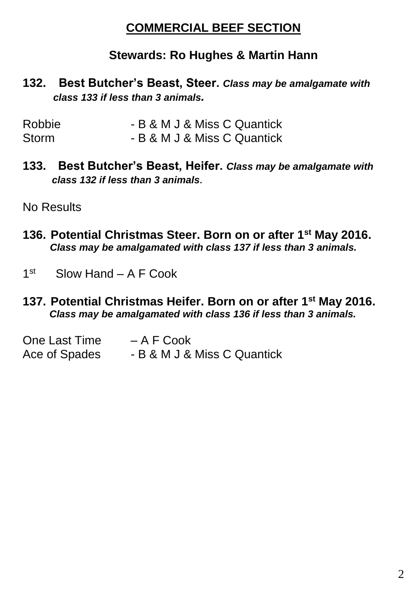## **COMMERCIAL BEEF SECTION**

## **Stewards: Ro Hughes & Martin Hann**

#### **132. Best Butcher's Beast, Steer.** *Class may be amalgamate with class 133 if less than 3 animals.*

| <b>Robbie</b> | - B & M J & Miss C Quantick |
|---------------|-----------------------------|
| Storm         | - B & M J & Miss C Quantick |

**133. Best Butcher's Beast, Heifer.** *Class may be amalgamate with class 132 if less than 3 animals.*

No Results

- **136. Potential Christmas Steer. Born on or after 1st May 2016.**  *Class may be amalgamated with class 137 if less than 3 animals.*
- 1 st Slow Hand – A F Cook
- **137. Potential Christmas Heifer. Born on or after 1st May 2016.** *Class may be amalgamated with class 136 if less than 3 animals.*

| One Last Time | – A F Cook                  |
|---------------|-----------------------------|
| Ace of Spades | - B & M J & Miss C Quantick |